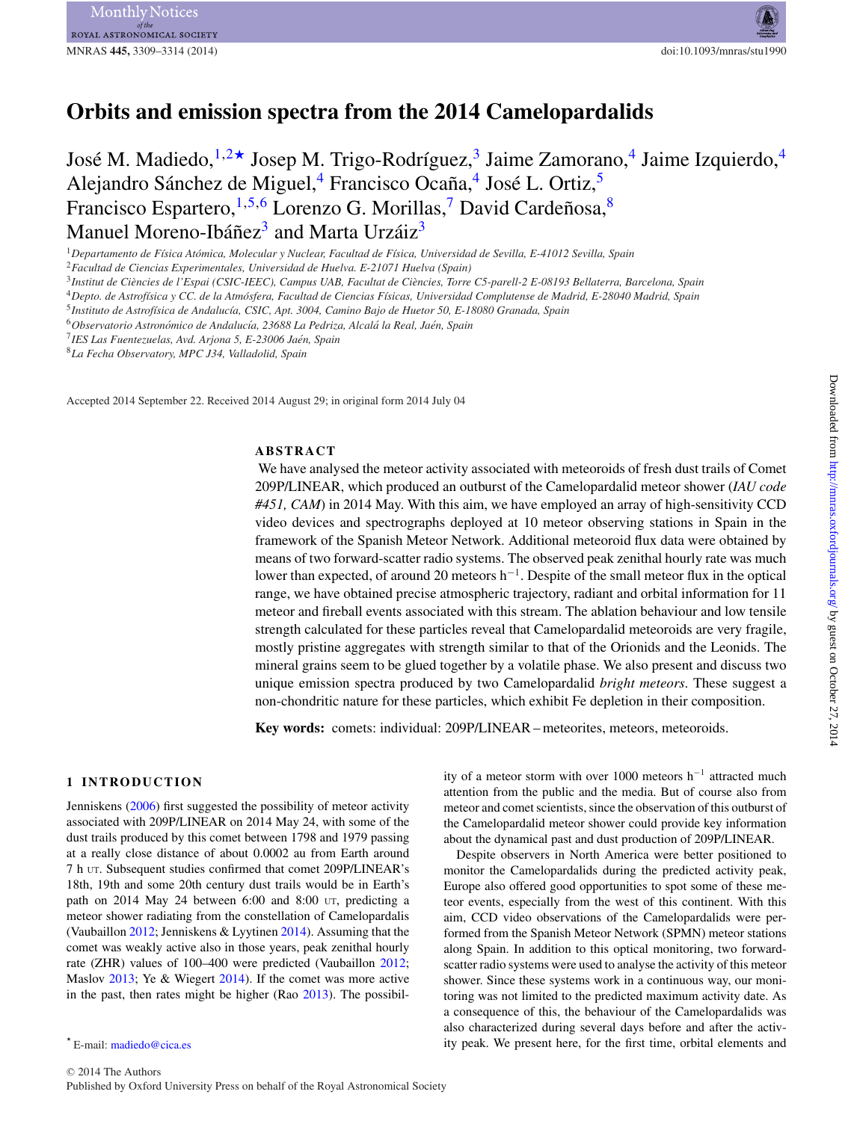# **Orbits and emission spectra from the 2014 Camelopardalids**

José M. Madiedo,  $^{1,2\star}$  $^{1,2\star}$  $^{1,2\star}$  $^{1,2\star}$  Josep M. Trigo-Rodríguez, Jaime Zamorano, Jaime Izquierdo,  $^{4}$  $^{4}$  $^{4}$ Alejandro Sánchez de Miguel,<sup>[4](#page-0-4)</sup> Francisco Ocaña,<sup>4</sup> José L. Ortiz,<sup>[5](#page-0-5)</sup> Francisco Espartero,  $1,5,6$  $1,5,6$  $1,5,6$  Lorenzo G. Morillas,<sup>7</sup> David Cardeñosa,<sup>[8](#page-0-8)</sup> Manuel Moreno-Ibáñez<sup>[3](#page-0-3)</sup> and Marta Urzáiz<sup>3</sup>

<span id="page-0-0"></span><sup>1</sup>*Departamento de F´ısica Atomica, Molecular y Nuclear, Facultad de F ´ ´ısica, Universidad de Sevilla, E-41012 Sevilla, Spain*

<span id="page-0-1"></span><sup>2</sup>*Facultad de Ciencias Experimentales, Universidad de Huelva. E-21071 Huelva (Spain)*

<span id="page-0-3"></span><sup>3</sup> Institut de Ciències de l'Espai (CSIC-IEEC), Campus UAB, Facultat de Ciències, Torre C5-parell-2 E-08193 Bellaterra, Barcelona, Spain

<span id="page-0-4"></span><sup>4</sup>*Depto. de Astrof´ısica y CC. de la Atmosfera, Facultad de Ciencias F ´ ´ısicas, Universidad Complutense de Madrid, E-28040 Madrid, Spain*

<span id="page-0-5"></span><sup>5</sup>*Instituto de Astrof´ısica de Andaluc´ıa, CSIC, Apt. 3004, Camino Bajo de Huetor 50, E-18080 Granada, Spain*

<span id="page-0-6"></span><sup>6</sup>*Observatorio Astronomico de Andaluc ´ ´ıa, 23688 La Pedriza, Alcala la Real, Ja ´ en, Spain ´*

<span id="page-0-7"></span><sup>7</sup>*IES Las Fuentezuelas, Avd. Arjona 5, E-23006 Jaen, Spain ´*

<span id="page-0-8"></span><sup>8</sup>*La Fecha Observatory, MPC J34, Valladolid, Spain*

Accepted 2014 September 22. Received 2014 August 29; in original form 2014 July 04

#### **ABSTRACT**

We have analysed the meteor activity associated with meteoroids of fresh dust trails of Comet 209P/LINEAR, which produced an outburst of the Camelopardalid meteor shower (*IAU code #451, CAM*) in 2014 May. With this aim, we have employed an array of high-sensitivity CCD video devices and spectrographs deployed at 10 meteor observing stations in Spain in the framework of the Spanish Meteor Network. Additional meteoroid flux data were obtained by means of two forward-scatter radio systems. The observed peak zenithal hourly rate was much lower than expected, of around 20 meteors h−1. Despite of the small meteor flux in the optical range, we have obtained precise atmospheric trajectory, radiant and orbital information for 11 meteor and fireball events associated with this stream. The ablation behaviour and low tensile strength calculated for these particles reveal that Camelopardalid meteoroids are very fragile, mostly pristine aggregates with strength similar to that of the Orionids and the Leonids. The mineral grains seem to be glued together by a volatile phase. We also present and discuss two unique emission spectra produced by two Camelopardalid *bright meteors*. These suggest a non-chondritic nature for these particles, which exhibit Fe depletion in their composition.

**Key words:** comets: individual: 209P/LINEAR – meteorites, meteors, meteoroids.

#### **1 INTRODUCTION**

Jenniskens [\(2006\)](#page-5-0) first suggested the possibility of meteor activity associated with 209P/LINEAR on 2014 May 24, with some of the dust trails produced by this comet between 1798 and 1979 passing at a really close distance of about 0.0002 au from Earth around 7 h UT. Subsequent studies confirmed that comet 209P/LINEAR's 18th, 19th and some 20th century dust trails would be in Earth's path on 2014 May 24 between 6:00 and 8:00 UT, predicting a meteor shower radiating from the constellation of Camelopardalis (Vaubaillon [2012;](#page-5-1) Jenniskens & Lyytinen [2014\)](#page-5-2). Assuming that the comet was weakly active also in those years, peak zenithal hourly rate (ZHR) values of 100–400 were predicted (Vaubaillon [2012;](#page-5-1) Maslov [2013;](#page-5-3) Ye & Wiegert [2014\)](#page-5-4). If the comet was more active in the past, then rates might be higher (Rao [2013\)](#page-5-5). The possibility of a meteor storm with over 1000 meteors h−<sup>1</sup> attracted much attention from the public and the media. But of course also from meteor and comet scientists, since the observation of this outburst of the Camelopardalid meteor shower could provide key information about the dynamical past and dust production of 209P/LINEAR.

Despite observer[s](#page-1-0) in North America were better positioned to monitor the Camelopardalids during the predicted activity peak, Europe also offered good opportunities to spot some of these meteor events, especially from the west of this continent. With this aim, CCD video observations of the Camelopardalids were performed from the Spanish Meteor Network (SPMN) meteor stations along Spain. In addition to this optical monitoring, two forwardscatter radio systems were used to analyse the activity of this meteor shower. Since these systems work in a continuous way, our monitoring was not limited to the predicted maximum activity date. As a consequence of this, the behaviour of the Camelopardalids was also characterized during several days before and after the activity peak. We present here, for the first time, orbital elements and

<span id="page-0-2"></span><sup>-</sup> E-mail: [madiedo@cica.es](mailto:madiedo@cica.es)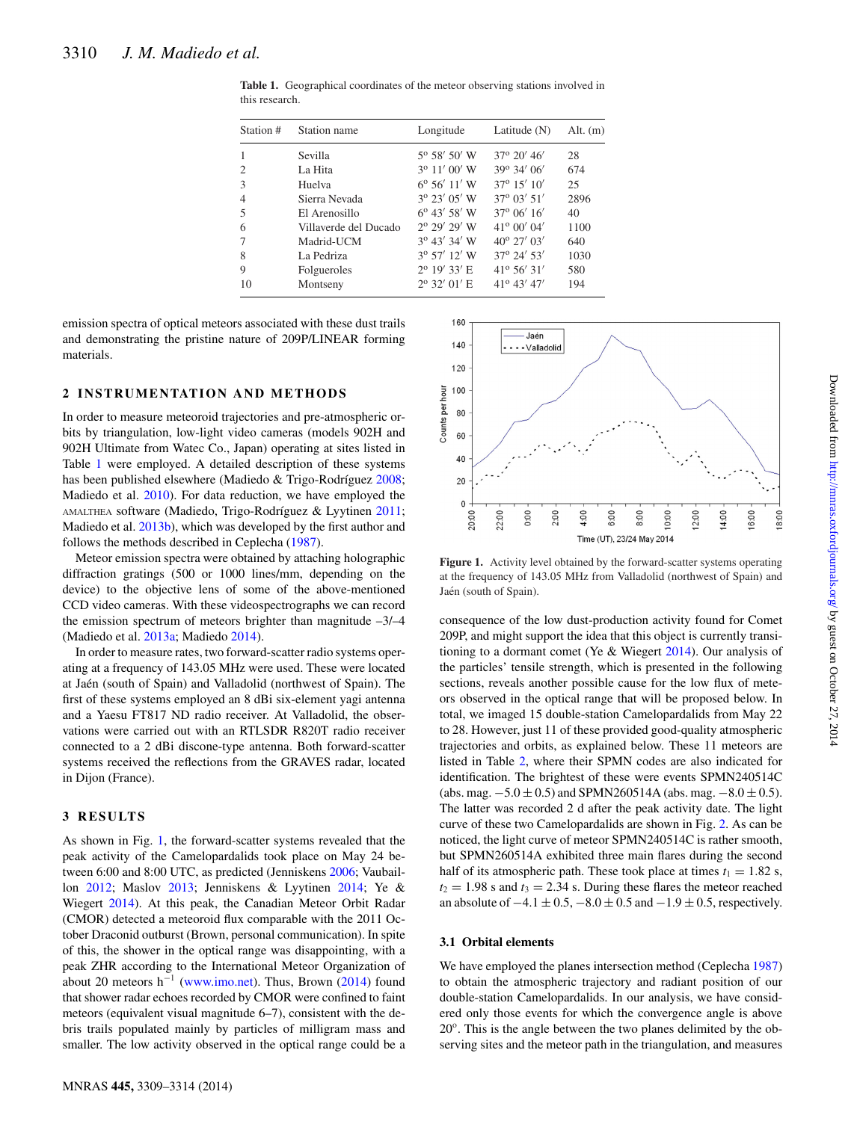| Station #      | Station name          | Longitude             | Latitude $(N)$       | Alt. $(m)$ |  |
|----------------|-----------------------|-----------------------|----------------------|------------|--|
| $\overline{1}$ | Sevilla               | $5^{\circ}$ 58' 50' W | $37^{\circ}$ 20' 46' | 28         |  |
| 2              | La Hita               | $3^{\circ}$ 11' 00' W | 39° 34' 06'          | 674        |  |
| 3              | Huelva                | $6^{\circ} 56' 11' W$ | $37^{\circ}$ 15' 10' | 25         |  |
| $\overline{4}$ | Sierra Nevada         | $3^{\circ}$ 23' 05' W | 37° 03′ 51′          | 2896       |  |
| .5             | El Arenosillo         | $6^{\circ}$ 43' 58' W | $37^{\circ}$ 06' 16' | 40         |  |
| 6              | Villaverde del Ducado | 2º 29' 29' W          | $41^{\circ}$ 00' 04' | 1100       |  |
| 7              | Madrid-UCM            | $3^{\circ}$ 43' 34' W | $40^{\circ}$ 27' 03' | 640        |  |
| 8              | La Pedriza            | $3^{\circ}$ 57' 12' W | $37^{\circ}$ 24' 53' | 1030       |  |
| 9              | Folgueroles           | $2^{\circ}$ 19' 33' E | $41^{\circ} 56' 31'$ | 580        |  |
| 10             | Montseny              | $2^{\circ}$ 32' 01' E | $41^{\circ}$ 43' 47' | 194        |  |

<span id="page-1-0"></span>**Table 1.** Geographical coordinates of the meteor observing stations involved in this research.

emission spectra of optical meteors associated with these dust trails and demonstrating the pristine nature of 209P/LINEAR forming materials.

#### **2 INSTRUMENTATION AND METHODS**

In order to measure meteoroid trajectories and pre-atmospheric orbits by triangulation, low-light video cameras (models 902H and 902H Ultimate from Watec Co., Japan) operating at sites listed in Table [1](#page-1-0) were employed. A detailed description of these systems has been published elsewhere (Madiedo & Trigo-Rodríguez [2008;](#page-5-6) Madiedo et al. [2010\)](#page-5-7). For data reduction, we have employed the AMALTHEA software (Madiedo, Trigo-Rodríguez & Lyytinen [2011;](#page-5-8) Madiedo et al. [2013b\)](#page-5-9), which was developed by the first author and follows the methods described in Ceplecha [\(1987\)](#page-5-10).

Meteor emission spectra were obtained by attaching holographic diffraction gratings (500 or 1000 lines/mm, depending on the device) to the objective lens of some of the above-mentioned CCD video cameras. With these videospectrographs we can record the emission spectrum of meteors brighter than magnitude  $-3/-4$ (Madiedo et al. [2013a;](#page-5-11) Madiedo [2014\)](#page-5-12).

In order to measure rates, two forward-scatter radio systems operating at a frequency of 143.05 MHz were used. These were located at Jaén (south of Spain) and Valladolid (northwest of Spain). The first of these systems employed an 8 dBi six-element yagi antenna and a Yaesu FT817 ND radio receiver. At Valladolid, the observations were carried out with an RTLSDR R820T radio receiver connected to a 2 dBi discone-type antenna. Both forward-scatter systems received the reflections from the GRAVES radar, located in Dijon (France).

#### **3 RESULTS**

As shown in Fig. [1,](#page-1-1) the forward-scatter systems revealed that the peak activity of the Camelopardalids took place on May 24 between 6:00 and 8:00 UTC, as predicted (Jenniskens [2006;](#page-5-0) Vaubaillon [2012;](#page-5-1) Maslov [2013;](#page-5-3) Jenniskens & Lyytinen [2014;](#page-5-2) Ye & Wiegert [2014\)](#page-5-4). At this peak, the Canadian Meteor Orbit Radar (CMOR) detected a meteoroid flux comparable with the 2011 October Draconid outburst (Brown, personal communication). In spite of this, the shower in the optical range was disappointing, with a peak ZHR according to the International Meteor Organization of about 20 meteors h<sup>-1</sup> [\(www.imo.net\)](http://www.imo.net). Thus, Brown [\(2014\)](#page-5-13) found that shower radar echoes recorded by CMOR were confined to faint meteors (equivalent visual magnitude 6–7), consistent with the debris trails populated mainly by particles of milligram mass and smaller. The low activity observed in the optical range could be a

<span id="page-1-1"></span>

Figure 1. Activity level obtained by the forward-scatter systems operating at the frequency of 143.05 MHz from Valladolid (northwest of Spain) and Jaén (south of Spain).

consequence of the low dust-production activity found for Comet 209P, and might support the idea that this object is currently transitioning to a dormant comet (Ye & Wiegert [2014\)](#page-5-4). Our analysis of the particles' tensile strength, which is presented in the following sections, reveals another possible cause for the low flux of meteors observed in the optical range that will be proposed below. In total, we imaged 15 double-station Camelopardalids from May 22 to 28. However, just 11 of these provided good-quality atmospheric trajectories and orbits, as explained below. These 11 meteors are listed in Table [2,](#page-2-0) where their SPMN codes are also indicated for identification. The brightest of these were events SPMN240514C (abs. mag.  $-5.0 \pm 0.5$ ) and SPMN260514A (abs. mag.  $-8.0 \pm 0.5$ ). The latter was recorded 2 d after the peak activity date. The light curve of these two Camelopardalids are shown in Fig. [2.](#page-2-1) As can be noticed, the light curve of meteor SPMN240514C is rather smooth, but SPMN260514A exhibited three main flares during the second half of its atmospheric path. These took place at times  $t_1 = 1.82$  s,  $t_2 = 1.98$  s and  $t_3 = 2.34$  s. During these flares the meteor reached an absolute of  $-4.1 \pm 0.5$ ,  $-8.0 \pm 0.5$  and  $-1.9 \pm 0.5$ , respectively.

#### **3.1 Orbital elements**

We have employed the planes intersection method (Ceplecha [1987\)](#page-5-10) to obtain the atmospheric trajectory and radiant position of our double-station Camelopardalids. In our analysis, we have considered only those events for which the convergence angle is above  $20^\circ$ . This is the angle between the two planes delimited by the observing sites and the meteor path in the triangulation, and measures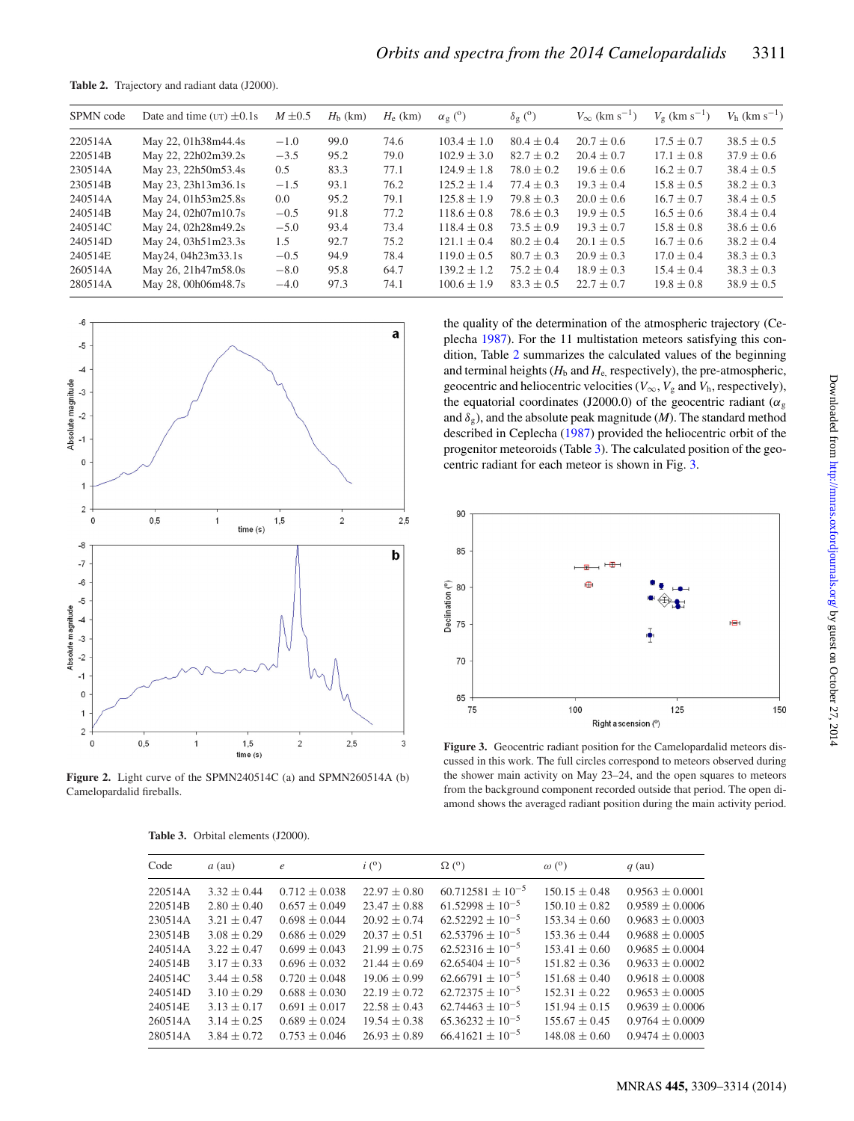<span id="page-2-0"></span>**Table 2.** Trajectory and radiant data (J2000).

| SPMN code | Date and time ( $UT$ ) $\pm 0.1$ s | $M \pm 0.5$ | $Hb$ (km) | $H_e$ (km) | $\alpha_{\mathfrak{g}}^{\mathrm{(0)}}$ | $\delta_{\rm g}$ ( <sup>o</sup> ) | $V_{\infty}$ (km s <sup>-1</sup> ) | $V_{\rm g}$ (km s <sup>-1</sup> ) | $V_{\rm h}$ (km s <sup>-1</sup> ) |
|-----------|------------------------------------|-------------|-----------|------------|----------------------------------------|-----------------------------------|------------------------------------|-----------------------------------|-----------------------------------|
| 220514A   | May 22, 01h38m44.4s                | $-1.0$      | 99.0      | 74.6       | $103.4 \pm 1.0$                        | $80.4 \pm 0.4$                    | $20.7 \pm 0.6$                     | $17.5 \pm 0.7$                    | $38.5 \pm 0.5$                    |
| 220514B   | May 22, 22h02m39.2s                | $-3.5$      | 95.2      | 79.0       | $102.9 \pm 3.0$                        | $82.7 \pm 0.2$                    | $20.4 \pm 0.7$                     | $17.1 \pm 0.8$                    | $37.9 \pm 0.6$                    |
| 230514A   | May 23, 22h50m53.4s                | 0.5         | 83.3      | 77.1       | $124.9 \pm 1.8$                        | $78.0 \pm 0.2$                    | $19.6 \pm 0.6$                     | $16.2 \pm 0.7$                    | $38.4 \pm 0.5$                    |
| 230514B   | May 23, 23h13m36.1s                | $-1.5$      | 93.1      | 76.2       | $125.2 \pm 1.4$                        | $77.4 \pm 0.3$                    | $19.3 \pm 0.4$                     | $15.8 \pm 0.5$                    | $38.2 \pm 0.3$                    |
| 240514A   | May 24, 01h53m25.8s                | 0.0         | 95.2      | 79.1       | $125.8 \pm 1.9$                        | $79.8 \pm 0.3$                    | $20.0 \pm 0.6$                     | $16.7 \pm 0.7$                    | $38.4 \pm 0.5$                    |
| 240514B   | May 24, 02h07m10.7s                | $-0.5$      | 91.8      | 77.2       | $118.6 \pm 0.8$                        | $78.6 \pm 0.3$                    | $19.9 \pm 0.5$                     | $16.5 \pm 0.6$                    | $38.4 \pm 0.4$                    |
| 240514C   | May 24, 02h28m49.2s                | $-5.0$      | 93.4      | 73.4       | $118.4 \pm 0.8$                        | $73.5 \pm 0.9$                    | $19.3 \pm 0.7$                     | $15.8 \pm 0.8$                    | $38.6 \pm 0.6$                    |
| 240514D   | May 24, 03h51m23.3s                | 1.5         | 92.7      | 75.2       | $121.1 \pm 0.4$                        | $80.2 \pm 0.4$                    | $20.1 \pm 0.5$                     | $16.7 \pm 0.6$                    | $38.2 \pm 0.4$                    |
| 240514E   | May24, 04h23m33.1s                 | $-0.5$      | 94.9      | 78.4       | $119.0 \pm 0.5$                        | $80.7 \pm 0.3$                    | $20.9 \pm 0.3$                     | $17.0 \pm 0.4$                    | $38.3 \pm 0.3$                    |
| 260514A   | May 26, 21h47m58.0s                | $-8.0$      | 95.8      | 64.7       | $139.2 \pm 1.2$                        | $75.2 \pm 0.4$                    | $18.9 \pm 0.3$                     | $15.4 \pm 0.4$                    | $38.3 \pm 0.3$                    |
| 280514A   | May 28, 00h06m48.7s                | $-4.0$      | 97.3      | 74.1       | $100.6 \pm 1.9$                        | $83.3 + 0.5$                      | $22.7 \pm 0.7$                     | $19.8 \pm 0.8$                    | $38.9 \pm 0.5$                    |

<span id="page-2-1"></span>

**Figure 2.** Light curve of the SPMN240514C (a) and SPMN260514A (b) Camelopardalid fireballs.

**Table 3.** Orbital elements (J2000).

<span id="page-2-2"></span>

the quality of the determination of the atmospheric trajectory (Ceplecha [1987\)](#page-5-10). For the 11 multistation meteors satisfying this condition, Table [2](#page-2-0) summarizes the calculated values of the beginning and terminal heights  $(H_b \text{ and } H_e \text{, respectively})$ , the pre-atmospheric, geocentric and heliocentric velocities ( $V_{\infty}$ ,  $V_{g}$  and  $V_{h}$ , respectively), the equatorial coordinates (J2000.0) of the geocentric radiant ( $\alpha_g$ and  $\delta_{\varphi}$ ), and the absolute peak magnitude (*M*). The standard method described in Ceplecha [\(1987\)](#page-5-10) provided the heliocentric orbit of the progenitor meteoroids (Table [3\)](#page-2-2). The calculated position of the geocentric radiant for each meteor is shown in Fig. [3.](#page-2-3)

<span id="page-2-3"></span>

**Figure 3.** Geocentric radiant position for the Camelopardalid meteors discussed in this work. The full circles correspond to meteors observed during the shower main activity on May 23–24, and the open squares to meteors from the background component recorded outside that period. The open diamond shows the averaged radiant position during the main activity period.

| Code    | $a$ (au)        | $\epsilon$        | i(°)             | $\Omega$ ( <sup>o</sup> ) | $\omega$ ( <sup>o</sup> ) | $q$ (au)            |
|---------|-----------------|-------------------|------------------|---------------------------|---------------------------|---------------------|
| 220514A | $3.32 \pm 0.44$ | $0.712 \pm 0.038$ | $22.97 \pm 0.80$ | $60.712581 + 10^{-5}$     | $150.15 \pm 0.48$         | $0.9563 + 0.0001$   |
| 220514B | $2.80 \pm 0.40$ | $0.657 \pm 0.049$ | $23.47 \pm 0.88$ | $61.52998 \pm 10^{-5}$    | $150.10 \pm 0.82$         | $0.9589 \pm 0.0006$ |
| 230514A | $3.21 \pm 0.47$ | $0.698 \pm 0.044$ | $20.92 \pm 0.74$ | $62.52292 + 10^{-5}$      | $153.34 \pm 0.60$         | $0.9683 + 0.0003$   |
| 230514B | $3.08 \pm 0.29$ | $0.686 \pm 0.029$ | $20.37 + 0.51$   | $62.53796 + 10^{-5}$      | $153.36 + 0.44$           | $0.9688 + 0.0005$   |
| 240514A | $3.22 \pm 0.47$ | $0.699 \pm 0.043$ | $21.99 \pm 0.75$ | $62.52316 + 10^{-5}$      | $153.41 \pm 0.60$         | $0.9685 + 0.0004$   |
| 240514B | $3.17 \pm 0.33$ | $0.696 \pm 0.032$ | $21.44 \pm 0.69$ | $62.65404 + 10^{-5}$      | $151.82 \pm 0.36$         | $0.9633 \pm 0.0002$ |
| 240514C | $3.44 \pm 0.58$ | $0.720 \pm 0.048$ | $19.06 \pm 0.99$ | $62.66791 + 10^{-5}$      | $151.68 \pm 0.40$         | $0.9618 + 0.0008$   |
| 240514D | $3.10 \pm 0.29$ | $0.688 \pm 0.030$ | $22.19 \pm 0.72$ | $62.72375 + 10^{-5}$      | $152.31 \pm 0.22$         | $0.9653 + 0.0005$   |
| 240514E | $3.13 \pm 0.17$ | $0.691 \pm 0.017$ | $22.58 + 0.43$   | $62.74463 + 10^{-5}$      | $151.94 \pm 0.15$         | $0.9639 + 0.0006$   |
| 260514A | $3.14 + 0.25$   | $0.689 \pm 0.024$ | $19.54 \pm 0.38$ | $65.36232 + 10^{-5}$      | $155.67 \pm 0.45$         | $0.9764 + 0.0009$   |
| 280514A | $3.84 \pm 0.72$ | $0.753 \pm 0.046$ | $26.93 \pm 0.89$ | $6641621 + 10^{-5}$       | $148.08 \pm 0.60$         | $0.9474 + 0.0003$   |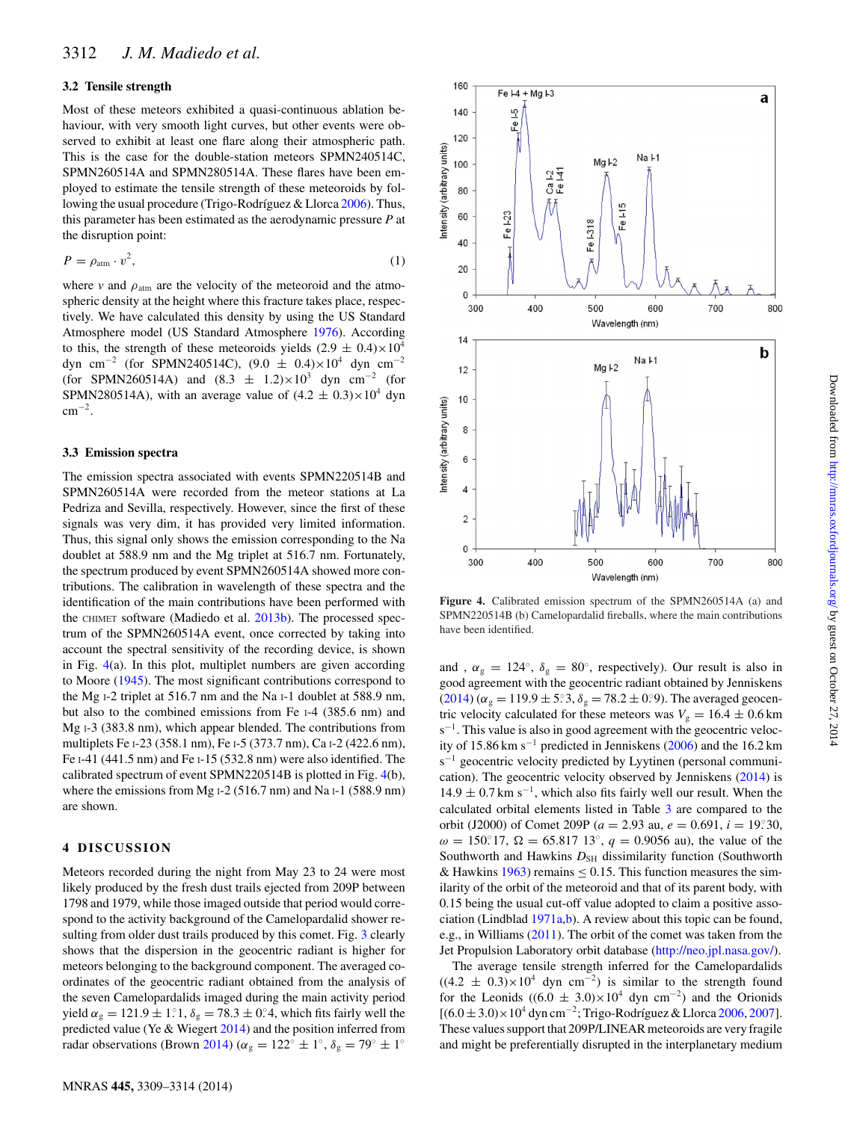#### **3.2 Tensile strength**

Most of these meteors exhibited a quasi-continuous ablation behaviour, with very smooth light curves, but other events were observed to exhibit at least one flare along their atmospheric path. This is the case for the double-station meteors SPMN240514C, SPMN260514A and SPMN280514A. These flares have been employed to estimate the tensile strength of these meteoroids by following the usual procedure (Trigo-Rodríguez  $&$  Llorca [2006\)](#page-5-14). Thus, this parameter has been estimated as the aerodynamic pressure *P* at the disruption point:

$$
P = \rho_{\text{atm}} \cdot v^2,\tag{1}
$$

where  $v$  and  $\rho_{\text{atm}}$  are the velocity of the meteoroid and the atmospheric density at the height where this fracture takes place, respectively. We have calculated this density by using the US Standard Atmosphere model (US Standard Atmosphere [1976\)](#page-5-15). According to this, the strength of these meteoroids yields  $(2.9 \pm 0.4) \times 10^4$ dyn cm<sup>-2</sup> (for SPMN240514C),  $(9.0 \pm 0.4) \times 10^4$  dyn cm<sup>-2</sup> (for SPMN260514A) and  $(8.3 \pm 1.2) \times 10^3$  dyn cm<sup>-2</sup> (for SPMN280514A), with an average value of  $(4.2 \pm 0.3) \times 10^4$  dyn cm−2.

#### **3.3 Emission spectra**

The emission spectra associated with events SPMN220514B and SPMN260514A were recorded from the meteor stations at La Pedriza and Sevilla, respectively. However, since the first of these signals was very dim, it has provided very limited information. Thus, this signal only shows the emission corresponding to the Na doublet at 588.9 nm and the Mg triplet at 516.7 nm. Fortunately, the spectrum produced by event SPMN260514A showed more contributions. The calibration in wavelength of these spectra and the identification of the main contributions have been performed with the CHIMET software (Madiedo et al. [2013b\)](#page-5-9). The processed spectrum of the SPMN260514A event, once corrected by taking into account the spectral sensitivity of the recording device, is shown in Fig. [4\(](#page-3-0)a). In this plot, multiplet numbers are given according to Moore [\(1945\)](#page-5-16). The most significant contributions correspond to the Mg I-2 triplet at 516.7 nm and the Na I-1 doublet at 588.9 nm, but also to the combined emissions from Fe I-4 (385.6 nm) and Mg I-3 (383.8 nm), which appear blended. The contributions from multiplets Fe I-23 (358.1 nm), Fe I-5 (373.7 nm), Ca I-2 (422.6 nm), Fe I-41 (441.5 nm) and Fe I-15 (532.8 nm) were also identified. The calibrated spectrum of event SPMN220514B is plotted in Fig. [4\(](#page-3-0)b), where the emissions from Mg I-2 (516.7 nm) and Na I-1 (588.9 nm) are shown.

#### **4 DISCUSSION**

Meteors recorded during the night from May 23 to 24 were most likely produced by the fresh dust trails ejected from 209P between 1798 and 1979, while those imaged outside that period would correspond to the activity background of the Camelopardalid shower resulting from older dust trails produced by this comet. Fig. [3](#page-2-3) clearly shows that the dispersion in the geocentric radiant is higher for meteors belonging to the background component. The averaged coordinates of the geocentric radiant obtained from the analysis of the seven Camelopardalids imaged during the main activity period yield  $\alpha_{\rm g} = 121.9 \pm 1.1$ ,  $\delta_{\rm g} = 78.3 \pm 0.4$ , which fits fairly well the predicted value (Ye & Wiegert [2014\)](#page-5-4) and the position inferred from radar observations (Brown [2014\)](#page-5-13) ( $\alpha_{\rm g} = 122^{\circ} \pm 1^{\circ}$ ,  $\delta_{\rm g} = 79^{\circ} \pm 1^{\circ}$ 

<span id="page-3-0"></span>

**Figure 4.** Calibrated emission spectrum of the SPMN260514A (a) and SPMN220514B (b) Camelopardalid fireballs, where the main contributions have been identified.

and ,  $\alpha_{g} = 124^{\circ}$ ,  $\delta_{g} = 80^{\circ}$ , respectively). Our result is also in good agreement with the geocentric radiant obtained by Jenniskens [\(2014\)](#page-5-17) ( $\alpha_g = 119.9 \pm 5^\circ 3$ ,  $\delta_g = 78.2 \pm 0^\circ 9$ ). The averaged geocentric velocity calculated for these meteors was  $V<sub>g</sub> = 16.4 \pm 0.6$  km s<sup>-1</sup>. This value is also in good agreement with the geocentric velocity of 15.86 km s−<sup>1</sup> predicted in Jenniskens [\(2006\)](#page-5-0) and the 16.2 km s<sup>-1</sup> geocentric velocity predicted by Lyytinen (personal communication). The geocentric velocity observed by Jenniskens [\(2014\)](#page-5-17) is  $14.9 \pm 0.7$  km s<sup>-1</sup>, which also fits fairly well our result. When the calculated orbital elements listed in Table [3](#page-2-2) are compared to the orbit (J2000) of Comet 209P ( $a = 2.93$  au,  $e = 0.691$ ,  $i = 19.30$ ,  $ω = 150°17$ ,  $Ω = 65.81713°$ ,  $q = 0.9056$  au), the value of the Southworth and Hawkins  $D_{SH}$  dissimilarity function (Southworth & Hawkins [1963\)](#page-5-18) remains  $\leq 0.15$ . This function measures the similarity of the orbit of the meteoroid and that of its parent body, with 0.15 being the usual cut-off value adopted to claim a positive association (Lindblad [1971a,](#page-5-19)[b\)](#page-5-20). A review about this topic can be found, e.g., in Williams [\(2011\)](#page-5-21). The orbit of the comet was taken from the Jet Propulsion Laboratory orbit database [\(http://neo.jpl.nasa.gov/\)](http://neo.jpl.nasa.gov/).

The average tensile strength inferred for the Camelopardalids  $((4.2 \pm 0.3) \times 10^4$  dyn cm<sup>-2</sup>) is similar to the strength found for the Leonids ((6.0  $\pm$  3.0)×10<sup>4</sup> dyn cm<sup>-2</sup>) and the Orionids  $[(6.0 \pm 3.0) \times 10^4 \text{ dyn cm}^{-2}$ ; Trigo-Rodríguez & Llorca [2006,](#page-5-14) [2007\]](#page-5-22). These values support that 209P/LINEAR meteoroids are very fragile and might be preferentially disrupted in the interplanetary medium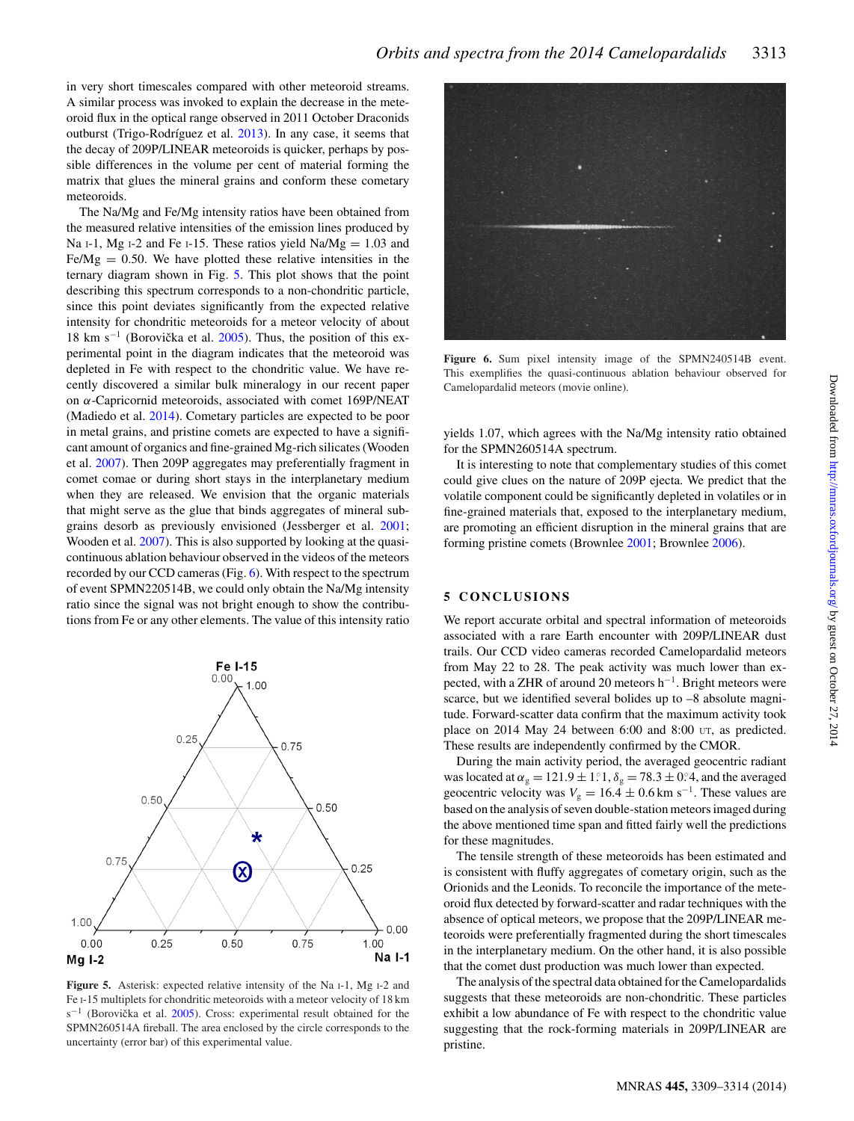in very short timescales compared with other meteoroid streams. A similar process was invoked to explain the decrease in the meteoroid flux in the optical range observed in 2011 October Draconids outburst (Trigo-Rodríguez et al. [2013\)](#page-5-23). In any case, it seems that the decay of 209P/LINEAR meteoroids is quicker, perhaps by possible differences in the volume per cent of material forming the matrix that glues the mineral grains and conform these cometary meteoroids.

The Na/Mg and Fe/Mg intensity ratios have been obtained from the measured relative intensities of the emission lines produced by Na I-1, Mg I-2 and Fe I-15. These ratios yield  $Na/Mg = 1.03$  and  $Fe/Mg = 0.50$ . We have plotted these relative intensities in the ternary diagram shown in Fig. [5.](#page-4-0) This plot shows that the point describing this spectrum corresponds to a non-chondritic particle, since this point deviates significantly from the expected relative intensity for chondritic meteoroids for a meteor velocity of about 18 km s<sup> $-1$ </sup> (Borovička et al. [2005\)](#page-5-24). Thus, the position of this experimental point in the diagram indicates that the meteoroid was depleted in Fe with respect to the chondritic value. We have recently discovered a similar bulk mineralogy in our recent paper on α-Capricornid meteoroids, associated with comet 169P/NEAT (Madiedo et al. [2014\)](#page-5-25). Cometary particles are expected to be poor in metal grains, and pristine comets are expected to have a significant amount of organics and fine-grained Mg-rich silicates (Wooden et al. [2007\)](#page-5-26). Then 209P aggregates may preferentially fragment in comet comae or during short stays in the interplanetary medium when they are released. We envision that the organic materials that might serve as the glue that binds aggregates of mineral subgrains desorb as previously envisioned (Jessberger et al. [2001;](#page-5-27) Wooden et al. [2007\)](#page-5-26). This is also supported by looking at the quasicontinuous ablation behaviour observed in the videos of the meteors recorded by our CCD cameras (Fig. [6\)](#page-4-1). With respect to the spectrum of event SPMN220514B, we could only obtain the Na/Mg intensity ratio since the signal was not bright enough to show the contributions from Fe or any other elements. The value of this intensity ratio

<span id="page-4-0"></span>

**Figure 5.** Asterisk: expected relative intensity of the Na I-1, Mg I-2 and Fe I-15 multiplets for chondritic meteoroids with a meteor velocity of 18 km  $s^{-1}$  (Borovička et al. [2005\)](#page-5-24). Cross: experimental result obtained for the SPMN260514A fireball. The area enclosed by the circle corresponds to the uncertainty (error bar) of this experimental value.

<span id="page-4-1"></span>

**Figure 6.** Sum pixel intensity image of the SPMN240514B event. This exemplifies the quasi-continuous ablation behaviour observed for Camelopardalid meteors (movie online).

yields 1.07, which agrees with the Na/Mg intensity ratio obtained for the SPMN260514A spectrum.

It is interesting to note that complementary studies of this comet could give clues on the nature of 209P ejecta. We predict that the volatile component could be significantly depleted in volatiles or in fine-grained materials that, exposed to the interplanetary medium, are promoting an efficient disruption in the mineral grains that are forming pristine comets (Brownlee [2001;](#page-5-28) Brownlee [2006\)](#page-5-29).

#### **5 CONCLUSIONS**

We report accurate orbital and spectral information of meteoroids associated with a rare Earth encounter with 209P/LINEAR dust trails. Our CCD video cameras recorded Camelopardalid meteors from May 22 to 28. The peak activity was much lower than expected, with a ZHR of around 20 meteors h<sup>-1</sup>. Bright meteors were scarce, but we identified several bolides up to –8 absolute magnitude. Forward-scatter data confirm that the maximum activity took place on 2014 May 24 between 6:00 and 8:00 UT, as predicted. These results are independently confirmed by the CMOR.

During the main activity period, the averaged geocentric radiant was located at  $\alpha_g = 121.9 \pm 1.1$ ,  $\delta_g = 78.3 \pm 0.4$ , and the averaged geocentric velocity was  $V_g = 16.4 \pm 0.6$  km s<sup>-1</sup>. These values are based on the analysis of seven double-station meteors imaged during the above mentioned time span and fitted fairly well the predictions for these magnitudes.

The tensile strength of these meteoroids has been estimated and is consistent with fluffy aggregates of cometary origin, such as the Orionids and the Leonids. To reconcile the importance of the meteoroid flux detected by forward-scatter and radar techniques with the absence of optical meteors, we propose that the 209P/LINEAR meteoroids were preferentially fragmented during the short timescales in the interplanetary medium. On the other hand, it is also possible that the comet dust production was much lower than expected.

The analysis of the spectral data obtained for the Camelopardalids suggests that these meteoroids are non-chondritic. These particles exhibit a low abundance of Fe with respect to the chondritic value suggesting that the rock-forming materials in 209P/LINEAR are pristine.